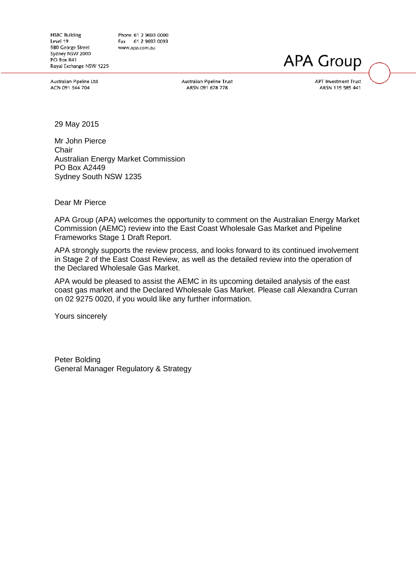**HSBC Building** Level 19 580 George Street Sydney NSW 2000  $PO$  Rox R41 Royal Exchange NSW 1225

Phone 61 2 9693 0000 Fax 61 2 9693 0093 www.apa.com.au

Australian Pipeline Ltd ACN 091 344 704

Australian Pipeline Trust ARSN 091 678 778

**APT Investment Trust** ARSN 115 585 441

**APA Group** 

29 May 2015

Mr John Pierce **Chair** Australian Energy Market Commission PO Box A2449 Sydney South NSW 1235

Dear Mr Pierce

APA Group (APA) welcomes the opportunity to comment on the Australian Energy Market Commission (AEMC) review into the East Coast Wholesale Gas Market and Pipeline Frameworks Stage 1 Draft Report.

APA strongly supports the review process, and looks forward to its continued involvement in Stage 2 of the East Coast Review, as well as the detailed review into the operation of the Declared Wholesale Gas Market.

APA would be pleased to assist the AEMC in its upcoming detailed analysis of the east coast gas market and the Declared Wholesale Gas Market. Please call Alexandra Curran on 02 9275 0020, if you would like any further information.

Yours sincerely

Peter Bolding General Manager Regulatory & Strategy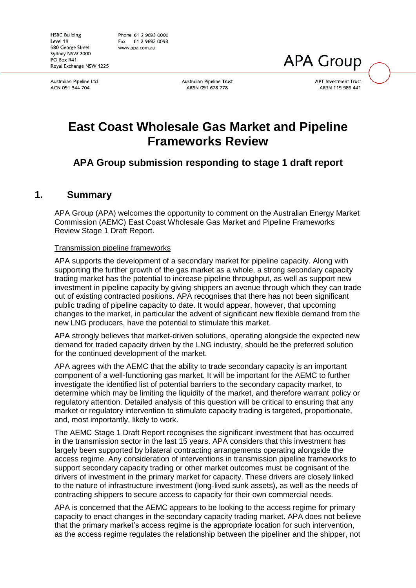Australian Pipeline Ltd ACN 091 344 704

Australian Pipeline Trust ARSN 091 678 778

**APT Investment Trust** ARSN 115 585 441

**APA Group** 

# **East Coast Wholesale Gas Market and Pipeline Frameworks Review**

## **APA Group submission responding to stage 1 draft report**

## **1. Summary**

APA Group (APA) welcomes the opportunity to comment on the Australian Energy Market Commission (AEMC) East Coast Wholesale Gas Market and Pipeline Frameworks Review Stage 1 Draft Report.

#### Transmission pipeline frameworks

APA supports the development of a secondary market for pipeline capacity. Along with supporting the further growth of the gas market as a whole, a strong secondary capacity trading market has the potential to increase pipeline throughput, as well as support new investment in pipeline capacity by giving shippers an avenue through which they can trade out of existing contracted positions. APA recognises that there has not been significant public trading of pipeline capacity to date. It would appear, however, that upcoming changes to the market, in particular the advent of significant new flexible demand from the new LNG producers, have the potential to stimulate this market.

APA strongly believes that market-driven solutions, operating alongside the expected new demand for traded capacity driven by the LNG industry, should be the preferred solution for the continued development of the market.

APA agrees with the AEMC that the ability to trade secondary capacity is an important component of a well-functioning gas market. It will be important for the AEMC to further investigate the identified list of potential barriers to the secondary capacity market, to determine which may be limiting the liquidity of the market, and therefore warrant policy or regulatory attention. Detailed analysis of this question will be critical to ensuring that any market or regulatory intervention to stimulate capacity trading is targeted, proportionate, and, most importantly, likely to work.

The AEMC Stage 1 Draft Report recognises the significant investment that has occurred in the transmission sector in the last 15 years. APA considers that this investment has largely been supported by bilateral contracting arrangements operating alongside the access regime. Any consideration of interventions in transmission pipeline frameworks to support secondary capacity trading or other market outcomes must be cognisant of the drivers of investment in the primary market for capacity. These drivers are closely linked to the nature of infrastructure investment (long-lived sunk assets), as well as the needs of contracting shippers to secure access to capacity for their own commercial needs.

APA is concerned that the AEMC appears to be looking to the access regime for primary capacity to enact changes in the secondary capacity trading market. APA does not believe that the primary market's access regime is the appropriate location for such intervention, as the access regime regulates the relationship between the pipeliner and the shipper, not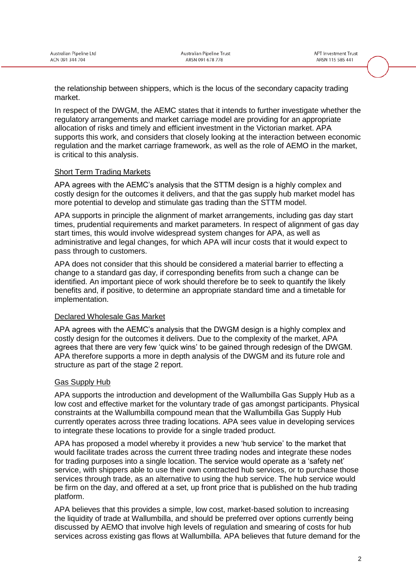the relationship between shippers, which is the locus of the secondary capacity trading market.

In respect of the DWGM, the AEMC states that it intends to further investigate whether the regulatory arrangements and market carriage model are providing for an appropriate allocation of risks and timely and efficient investment in the Victorian market. APA supports this work, and considers that closely looking at the interaction between economic regulation and the market carriage framework, as well as the role of AEMO in the market, is critical to this analysis.

#### Short Term Trading Markets

APA agrees with the AEMC's analysis that the STTM design is a highly complex and costly design for the outcomes it delivers, and that the gas supply hub market model has more potential to develop and stimulate gas trading than the STTM model.

APA supports in principle the alignment of market arrangements, including gas day start times, prudential requirements and market parameters. In respect of alignment of gas day start times, this would involve widespread system changes for APA, as well as administrative and legal changes, for which APA will incur costs that it would expect to pass through to customers.

APA does not consider that this should be considered a material barrier to effecting a change to a standard gas day, if corresponding benefits from such a change can be identified. An important piece of work should therefore be to seek to quantify the likely benefits and, if positive, to determine an appropriate standard time and a timetable for implementation.

#### Declared Wholesale Gas Market

APA agrees with the AEMC's analysis that the DWGM design is a highly complex and costly design for the outcomes it delivers. Due to the complexity of the market, APA agrees that there are very few 'quick wins' to be gained through redesign of the DWGM. APA therefore supports a more in depth analysis of the DWGM and its future role and structure as part of the stage 2 report.

### Gas Supply Hub

APA supports the introduction and development of the Wallumbilla Gas Supply Hub as a low cost and effective market for the voluntary trade of gas amongst participants. Physical constraints at the Wallumbilla compound mean that the Wallumbilla Gas Supply Hub currently operates across three trading locations. APA sees value in developing services to integrate these locations to provide for a single traded product.

APA has proposed a model whereby it provides a new 'hub service' to the market that would facilitate trades across the current three trading nodes and integrate these nodes for trading purposes into a single location. The service would operate as a 'safety net' service, with shippers able to use their own contracted hub services, or to purchase those services through trade, as an alternative to using the hub service. The hub service would be firm on the day, and offered at a set, up front price that is published on the hub trading platform.

APA believes that this provides a simple, low cost, market-based solution to increasing the liquidity of trade at Wallumbilla, and should be preferred over options currently being discussed by AEMO that involve high levels of regulation and smearing of costs for hub services across existing gas flows at Wallumbilla. APA believes that future demand for the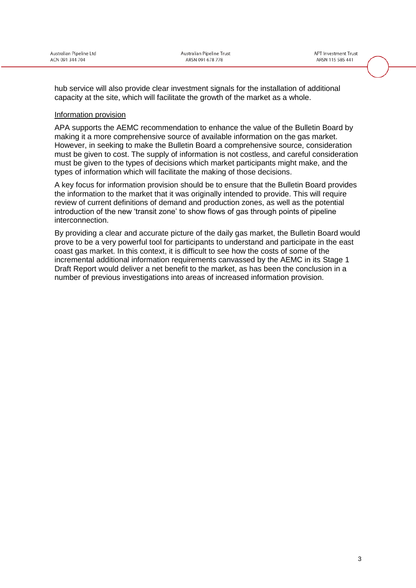hub service will also provide clear investment signals for the installation of additional capacity at the site, which will facilitate the growth of the market as a whole.

#### Information provision

APA supports the AEMC recommendation to enhance the value of the Bulletin Board by making it a more comprehensive source of available information on the gas market. However, in seeking to make the Bulletin Board a comprehensive source, consideration must be given to cost. The supply of information is not costless, and careful consideration must be given to the types of decisions which market participants might make, and the types of information which will facilitate the making of those decisions.

A key focus for information provision should be to ensure that the Bulletin Board provides the information to the market that it was originally intended to provide. This will require review of current definitions of demand and production zones, as well as the potential introduction of the new 'transit zone' to show flows of gas through points of pipeline interconnection.

By providing a clear and accurate picture of the daily gas market, the Bulletin Board would prove to be a very powerful tool for participants to understand and participate in the east coast gas market. In this context, it is difficult to see how the costs of some of the incremental additional information requirements canvassed by the AEMC in its Stage 1 Draft Report would deliver a net benefit to the market, as has been the conclusion in a number of previous investigations into areas of increased information provision.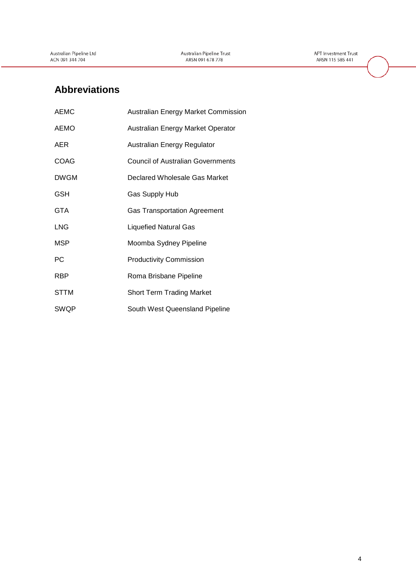**APT Investment Trust** ARSN 115 585 441

## **Abbreviations**

| <b>AEMC</b> | <b>Australian Energy Market Commission</b> |
|-------------|--------------------------------------------|
| <b>AEMO</b> | Australian Energy Market Operator          |
| AER         | Australian Energy Regulator                |
| <b>COAG</b> | <b>Council of Australian Governments</b>   |
| <b>DWGM</b> | Declared Wholesale Gas Market              |
| <b>GSH</b>  | Gas Supply Hub                             |
| <b>GTA</b>  | <b>Gas Transportation Agreement</b>        |
| <b>LNG</b>  | <b>Liquefied Natural Gas</b>               |
| <b>MSP</b>  | Moomba Sydney Pipeline                     |
| PС          | <b>Productivity Commission</b>             |
| <b>RBP</b>  | Roma Brisbane Pipeline                     |
| <b>STTM</b> | <b>Short Term Trading Market</b>           |
| <b>SWQP</b> | South West Queensland Pipeline             |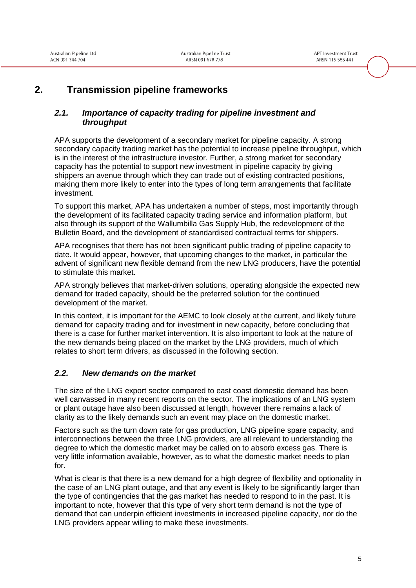## **2. Transmission pipeline frameworks**

### <span id="page-6-0"></span>*2.1. Importance of capacity trading for pipeline investment and throughput*

APA supports the development of a secondary market for pipeline capacity. A strong secondary capacity trading market has the potential to increase pipeline throughput, which is in the interest of the infrastructure investor. Further, a strong market for secondary capacity has the potential to support new investment in pipeline capacity by giving shippers an avenue through which they can trade out of existing contracted positions, making them more likely to enter into the types of long term arrangements that facilitate investment.

To support this market, APA has undertaken a number of steps, most importantly through the development of its facilitated capacity trading service and information platform, but also through its support of the Wallumbilla Gas Supply Hub, the redevelopment of the Bulletin Board, and the development of standardised contractual terms for shippers.

APA recognises that there has not been significant public trading of pipeline capacity to date. It would appear, however, that upcoming changes to the market, in particular the advent of significant new flexible demand from the new LNG producers, have the potential to stimulate this market.

APA strongly believes that market-driven solutions, operating alongside the expected new demand for traded capacity, should be the preferred solution for the continued development of the market.

In this context, it is important for the AEMC to look closely at the current, and likely future demand for capacity trading and for investment in new capacity, before concluding that there is a case for further market intervention. It is also important to look at the nature of the new demands being placed on the market by the LNG providers, much of which relates to short term drivers, as discussed in the following section.

### *2.2. New demands on the market*

The size of the LNG export sector compared to east coast domestic demand has been well canvassed in many recent reports on the sector. The implications of an LNG system or plant outage have also been discussed at length, however there remains a lack of clarity as to the likely demands such an event may place on the domestic market.

Factors such as the turn down rate for gas production, LNG pipeline spare capacity, and interconnections between the three LNG providers, are all relevant to understanding the degree to which the domestic market may be called on to absorb excess gas. There is very little information available, however, as to what the domestic market needs to plan for.

What is clear is that there is a new demand for a high degree of flexibility and optionality in the case of an LNG plant outage, and that any event is likely to be significantly larger than the type of contingencies that the gas market has needed to respond to in the past. It is important to note, however that this type of very short term demand is not the type of demand that can underpin efficient investments in increased pipeline capacity, nor do the LNG providers appear willing to make these investments.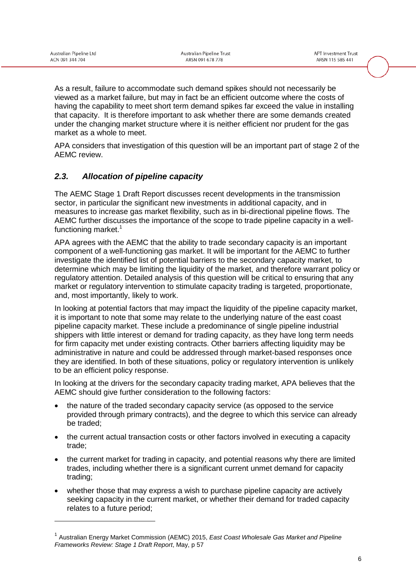-

As a result, failure to accommodate such demand spikes should not necessarily be viewed as a market failure, but may in fact be an efficient outcome where the costs of having the capability to meet short term demand spikes far exceed the value in installing that capacity. It is therefore important to ask whether there are some demands created under the changing market structure where it is neither efficient nor prudent for the gas market as a whole to meet.

APA considers that investigation of this question will be an important part of stage 2 of the AEMC review.

## *2.3. Allocation of pipeline capacity*

The AEMC Stage 1 Draft Report discusses recent developments in the transmission sector, in particular the significant new investments in additional capacity, and in measures to increase gas market flexibility, such as in bi-directional pipeline flows. The AEMC further discusses the importance of the scope to trade pipeline capacity in a wellfunctioning market. $1$ 

APA agrees with the AEMC that the ability to trade secondary capacity is an important component of a well-functioning gas market. It will be important for the AEMC to further investigate the identified list of potential barriers to the secondary capacity market, to determine which may be limiting the liquidity of the market, and therefore warrant policy or regulatory attention. Detailed analysis of this question will be critical to ensuring that any market or regulatory intervention to stimulate capacity trading is targeted, proportionate, and, most importantly, likely to work.

In looking at potential factors that may impact the liquidity of the pipeline capacity market, it is important to note that some may relate to the underlying nature of the east coast pipeline capacity market. These include a predominance of single pipeline industrial shippers with little interest or demand for trading capacity, as they have long term needs for firm capacity met under existing contracts. Other barriers affecting liquidity may be administrative in nature and could be addressed through market-based responses once they are identified. In both of these situations, policy or regulatory intervention is unlikely to be an efficient policy response.

In looking at the drivers for the secondary capacity trading market, APA believes that the AEMC should give further consideration to the following factors:

- the nature of the traded secondary capacity service (as opposed to the service provided through primary contracts), and the degree to which this service can already be traded;
- the current actual transaction costs or other factors involved in executing a capacity trade;
- the current market for trading in capacity, and potential reasons why there are limited trades, including whether there is a significant current unmet demand for capacity trading;
- whether those that may express a wish to purchase pipeline capacity are actively seeking capacity in the current market, or whether their demand for traded capacity relates to a future period;

<sup>1</sup> Australian Energy Market Commission (AEMC) 2015, *East Coast Wholesale Gas Market and Pipeline Frameworks Review: Stage 1 Draft Report*, May, p 57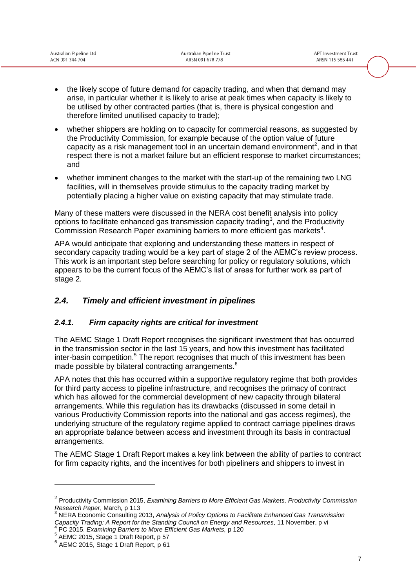|                 |  | Australian Pipeline Ltd |  |
|-----------------|--|-------------------------|--|
| ACN 091 344 704 |  |                         |  |

- the likely scope of future demand for capacity trading, and when that demand may arise, in particular whether it is likely to arise at peak times when capacity is likely to be utilised by other contracted parties (that is, there is physical congestion and therefore limited unutilised capacity to trade);
- whether shippers are holding on to capacity for commercial reasons, as suggested by the Productivity Commission, for example because of the option value of future capacity as a risk management tool in an uncertain demand environment<sup>2</sup>, and in that respect there is not a market failure but an efficient response to market circumstances; and
- whether imminent changes to the market with the start-up of the remaining two LNG facilities, will in themselves provide stimulus to the capacity trading market by potentially placing a higher value on existing capacity that may stimulate trade.

Many of these matters were discussed in the NERA cost benefit analysis into policy options to facilitate enhanced gas transmission capacity trading<sup>3</sup>, and the Productivity Commission Research Paper examining barriers to more efficient gas markets<sup>4</sup>.

APA would anticipate that exploring and understanding these matters in respect of secondary capacity trading would be a key part of stage 2 of the AEMC's review process. This work is an important step before searching for policy or regulatory solutions, which appears to be the current focus of the AEMC's list of areas for further work as part of stage 2.

## *2.4. Timely and efficient investment in pipelines*

### *2.4.1. Firm capacity rights are critical for investment*

The AEMC Stage 1 Draft Report recognises the significant investment that has occurred in the transmission sector in the last 15 years, and how this investment has facilitated  $inter-basin$  competition.<sup>5</sup> The report recognises that much of this investment has been made possible by bilateral contracting arrangements.<sup>6</sup>

APA notes that this has occurred within a supportive regulatory regime that both provides for third party access to pipeline infrastructure, and recognises the primacy of contract which has allowed for the commercial development of new capacity through bilateral arrangements. While this regulation has its drawbacks (discussed in some detail in various Productivity Commission reports into the national and gas access regimes), the underlying structure of the regulatory regime applied to contract carriage pipelines draws an appropriate balance between access and investment through its basis in contractual arrangements.

The AEMC Stage 1 Draft Report makes a key link between the ability of parties to contract for firm capacity rights, and the incentives for both pipeliners and shippers to invest in

5 AEMC 2015, Stage 1 Draft Report, p 57

<sup>2</sup> Productivity Commission 2015, *Examining Barriers to More Efficient Gas Markets, Productivity Commission Research Paper*, March*,* p 113

<sup>3</sup> NERA Economic Consulting 2013, *Analysis of Policy Options to Facilitate Enhanced Gas Transmission Capacity Trading: A Report for the Standing Council on Energy and Resources*, 11 November, p vi 4 PC 2015, *Examining Barriers to More Efficient Gas Markets,* p 120

<sup>6</sup> AEMC 2015, Stage 1 Draft Report, p 61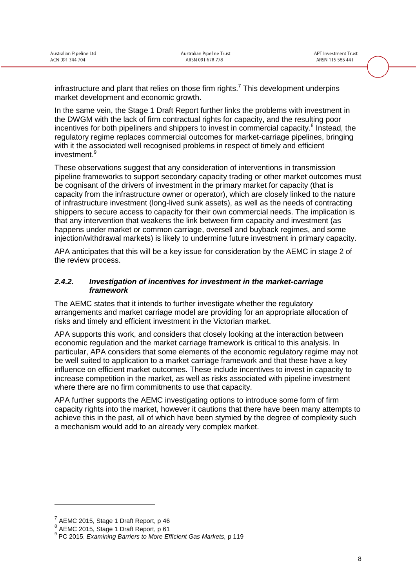infrastructure and plant that relies on those firm rights.<sup>7</sup> This development underpins market development and economic growth.

In the same vein, the Stage 1 Draft Report further links the problems with investment in the DWGM with the lack of firm contractual rights for capacity, and the resulting poor incentives for both pipeliners and shippers to invest in commercial capacity.<sup>8</sup> Instead, the regulatory regime replaces commercial outcomes for market-carriage pipelines, bringing with it the associated well recognised problems in respect of timely and efficient investment.<sup>9</sup>

These observations suggest that any consideration of interventions in transmission pipeline frameworks to support secondary capacity trading or other market outcomes must be cognisant of the drivers of investment in the primary market for capacity (that is capacity from the infrastructure owner or operator), which are closely linked to the nature of infrastructure investment (long-lived sunk assets), as well as the needs of contracting shippers to secure access to capacity for their own commercial needs. The implication is that any intervention that weakens the link between firm capacity and investment (as happens under market or common carriage, oversell and buyback regimes, and some injection/withdrawal markets) is likely to undermine future investment in primary capacity.

APA anticipates that this will be a key issue for consideration by the AEMC in stage 2 of the review process.

#### *2.4.2. Investigation of incentives for investment in the market-carriage framework*

The AEMC states that it intends to further investigate whether the regulatory arrangements and market carriage model are providing for an appropriate allocation of risks and timely and efficient investment in the Victorian market.

APA supports this work, and considers that closely looking at the interaction between economic regulation and the market carriage framework is critical to this analysis. In particular, APA considers that some elements of the economic regulatory regime may not be well suited to application to a market carriage framework and that these have a key influence on efficient market outcomes. These include incentives to invest in capacity to increase competition in the market, as well as risks associated with pipeline investment where there are no firm commitments to use that capacity.

APA further supports the AEMC investigating options to introduce some form of firm capacity rights into the market, however it cautions that there have been many attempts to achieve this in the past, all of which have been stymied by the degree of complexity such a mechanism would add to an already very complex market.

 $<sup>7</sup>$  AEMC 2015, Stage 1 Draft Report, p 46</sup>

<sup>8</sup> AEMC 2015, Stage 1 Draft Report, p 61

<sup>9</sup> PC 2015, *Examining Barriers to More Efficient Gas Markets,* p 119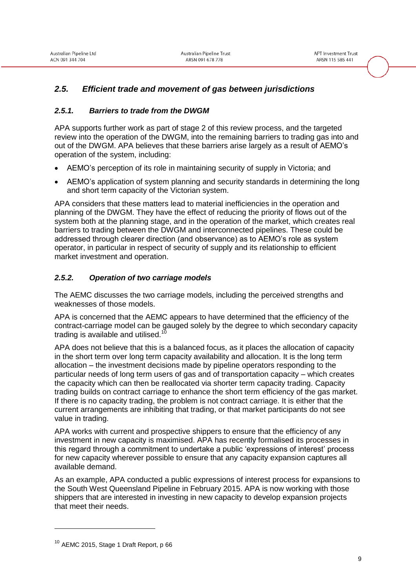## *2.5. Efficient trade and movement of gas between jurisdictions*

#### *2.5.1. Barriers to trade from the DWGM*

APA supports further work as part of stage 2 of this review process, and the targeted review into the operation of the DWGM, into the remaining barriers to trading gas into and out of the DWGM. APA believes that these barriers arise largely as a result of AEMO's operation of the system, including:

- AEMO's perception of its role in maintaining security of supply in Victoria; and
- AEMO's application of system planning and security standards in determining the long and short term capacity of the Victorian system.

APA considers that these matters lead to material inefficiencies in the operation and planning of the DWGM. They have the effect of reducing the priority of flows out of the system both at the planning stage, and in the operation of the market, which creates real barriers to trading between the DWGM and interconnected pipelines. These could be addressed through clearer direction (and observance) as to AEMO's role as system operator, in particular in respect of security of supply and its relationship to efficient market investment and operation.

#### *2.5.2. Operation of two carriage models*

The AEMC discusses the two carriage models, including the perceived strengths and weaknesses of those models.

APA is concerned that the AEMC appears to have determined that the efficiency of the contract-carriage model can be gauged solely by the degree to which secondary capacity trading is available and utilised.<sup>10</sup>

APA does not believe that this is a balanced focus, as it places the allocation of capacity in the short term over long term capacity availability and allocation. It is the long term allocation – the investment decisions made by pipeline operators responding to the particular needs of long term users of gas and of transportation capacity – which creates the capacity which can then be reallocated via shorter term capacity trading. Capacity trading builds on contract carriage to enhance the short term efficiency of the gas market. If there is no capacity trading, the problem is not contract carriage. It is either that the current arrangements are inhibiting that trading, or that market participants do not see value in trading.

APA works with current and prospective shippers to ensure that the efficiency of any investment in new capacity is maximised. APA has recently formalised its processes in this regard through a commitment to undertake a public 'expressions of interest' process for new capacity wherever possible to ensure that any capacity expansion captures all available demand.

As an example, APA conducted a public expressions of interest process for expansions to the South West Queensland Pipeline in February 2015. APA is now working with those shippers that are interested in investing in new capacity to develop expansion projects that meet their needs.

<sup>&</sup>lt;sup>10</sup> AEMC 2015, Stage 1 Draft Report, p 66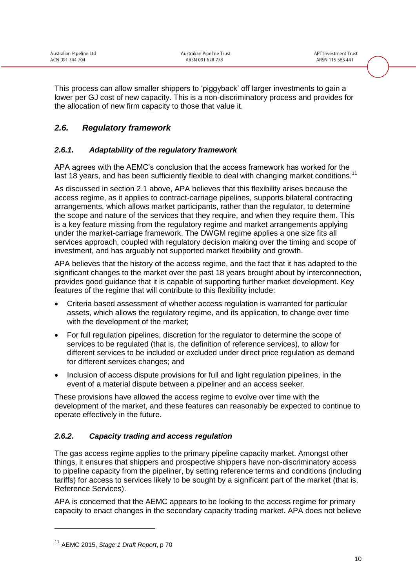This process can allow smaller shippers to 'piggyback' off larger investments to gain a lower per GJ cost of new capacity. This is a non-discriminatory process and provides for the allocation of new firm capacity to those that value it.

## *2.6. Regulatory framework*

### *2.6.1. Adaptability of the regulatory framework*

APA agrees with the AEMC's conclusion that the access framework has worked for the last 18 years, and has been sufficiently flexible to deal with changing market conditions.<sup>11</sup>

As discussed in section [2.1](#page-6-0) above, APA believes that this flexibility arises because the access regime, as it applies to contract-carriage pipelines, supports bilateral contracting arrangements, which allows market participants, rather than the regulator, to determine the scope and nature of the services that they require, and when they require them. This is a key feature missing from the regulatory regime and market arrangements applying under the market-carriage framework. The DWGM regime applies a one size fits all services approach, coupled with regulatory decision making over the timing and scope of investment, and has arguably not supported market flexibility and growth.

APA believes that the history of the access regime, and the fact that it has adapted to the significant changes to the market over the past 18 years brought about by interconnection, provides good guidance that it is capable of supporting further market development. Key features of the regime that will contribute to this flexibility include:

- Criteria based assessment of whether access regulation is warranted for particular assets, which allows the regulatory regime, and its application, to change over time with the development of the market:
- For full regulation pipelines, discretion for the regulator to determine the scope of services to be regulated (that is, the definition of reference services), to allow for different services to be included or excluded under direct price regulation as demand for different services changes; and
- Inclusion of access dispute provisions for full and light regulation pipelines, in the event of a material dispute between a pipeliner and an access seeker.

These provisions have allowed the access regime to evolve over time with the development of the market, and these features can reasonably be expected to continue to operate effectively in the future.

### *2.6.2. Capacity trading and access regulation*

The gas access regime applies to the primary pipeline capacity market. Amongst other things, it ensures that shippers and prospective shippers have non-discriminatory access to pipeline capacity from the pipeliner, by setting reference terms and conditions (including tariffs) for access to services likely to be sought by a significant part of the market (that is, Reference Services).

APA is concerned that the AEMC appears to be looking to the access regime for primary capacity to enact changes in the secondary capacity trading market. APA does not believe

<sup>11</sup> AEMC 2015, *Stage 1 Draft Report*, p 70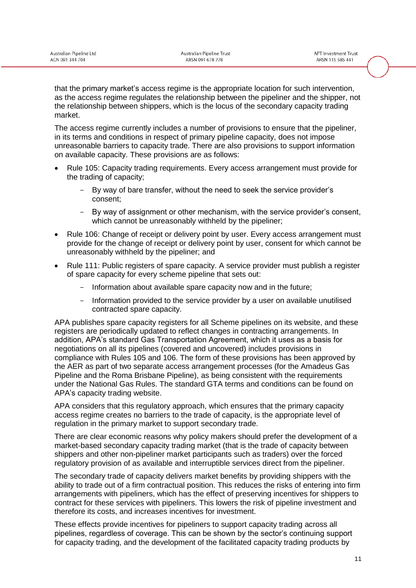that the primary market's access regime is the appropriate location for such intervention, as the access regime regulates the relationship between the pipeliner and the shipper, not the relationship between shippers, which is the locus of the secondary capacity trading market.

The access regime currently includes a number of provisions to ensure that the pipeliner, in its terms and conditions in respect of primary pipeline capacity, does not impose unreasonable barriers to capacity trade. There are also provisions to support information on available capacity. These provisions are as follows:

- Rule 105: Capacity trading requirements. Every access arrangement must provide for the trading of capacity;
	- By way of bare transfer, without the need to seek the service provider's consent;
	- By way of assignment or other mechanism, with the service provider's consent, which cannot be unreasonably withheld by the pipeliner;
- Rule 106: Change of receipt or delivery point by user. Every access arrangement must provide for the change of receipt or delivery point by user, consent for which cannot be unreasonably withheld by the pipeliner; and
- Rule 111: Public registers of spare capacity. A service provider must publish a register of spare capacity for every scheme pipeline that sets out:
	- Information about available spare capacity now and in the future;
	- Information provided to the service provider by a user on available unutilised contracted spare capacity.

APA publishes spare capacity registers for all Scheme pipelines on its website, and these registers are periodically updated to reflect changes in contracting arrangements. In addition, APA's standard Gas Transportation Agreement, which it uses as a basis for negotiations on all its pipelines (covered and uncovered) includes provisions in compliance with Rules 105 and 106. The form of these provisions has been approved by the AER as part of two separate access arrangement processes (for the Amadeus Gas Pipeline and the Roma Brisbane Pipeline), as being consistent with the requirements under the National Gas Rules. The standard GTA terms and conditions can be found on APA's capacity trading website.

APA considers that this regulatory approach, which ensures that the primary capacity access regime creates no barriers to the trade of capacity, is the appropriate level of regulation in the primary market to support secondary trade.

There are clear economic reasons why policy makers should prefer the development of a market-based secondary capacity trading market (that is the trade of capacity between shippers and other non-pipeliner market participants such as traders) over the forced regulatory provision of as available and interruptible services direct from the pipeliner.

The secondary trade of capacity delivers market benefits by providing shippers with the ability to trade out of a firm contractual position. This reduces the risks of entering into firm arrangements with pipeliners, which has the effect of preserving incentives for shippers to contract for these services with pipeliners. This lowers the risk of pipeline investment and therefore its costs, and increases incentives for investment.

These effects provide incentives for pipeliners to support capacity trading across all pipelines, regardless of coverage. This can be shown by the sector's continuing support for capacity trading, and the development of the facilitated capacity trading products by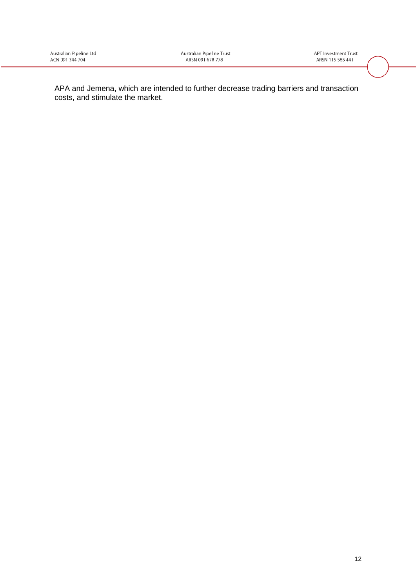**APT Investment Trust** ARSN 115 585 441

APA and Jemena, which are intended to further decrease trading barriers and transaction costs, and stimulate the market.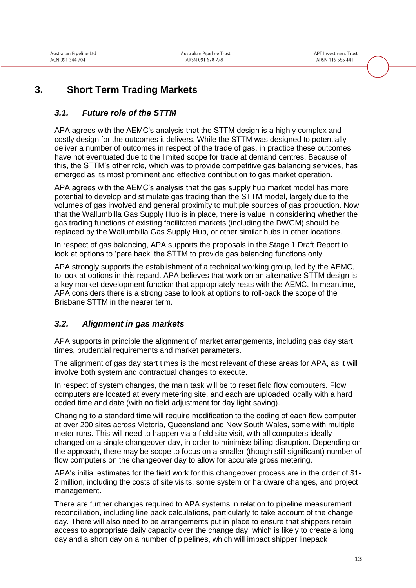## **3. Short Term Trading Markets**

## *3.1. Future role of the STTM*

APA agrees with the AEMC's analysis that the STTM design is a highly complex and costly design for the outcomes it delivers. While the STTM was designed to potentially deliver a number of outcomes in respect of the trade of gas, in practice these outcomes have not eventuated due to the limited scope for trade at demand centres. Because of this, the STTM's other role, which was to provide competitive gas balancing services, has emerged as its most prominent and effective contribution to gas market operation.

APA agrees with the AEMC's analysis that the gas supply hub market model has more potential to develop and stimulate gas trading than the STTM model, largely due to the volumes of gas involved and general proximity to multiple sources of gas production. Now that the Wallumbilla Gas Supply Hub is in place, there is value in considering whether the gas trading functions of existing facilitated markets (including the DWGM) should be replaced by the Wallumbilla Gas Supply Hub, or other similar hubs in other locations.

In respect of gas balancing, APA supports the proposals in the Stage 1 Draft Report to look at options to 'pare back' the STTM to provide gas balancing functions only.

APA strongly supports the establishment of a technical working group, led by the AEMC, to look at options in this regard. APA believes that work on an alternative STTM design is a key market development function that appropriately rests with the AEMC. In meantime, APA considers there is a strong case to look at options to roll-back the scope of the Brisbane STTM in the nearer term.

### <span id="page-14-0"></span>*3.2. Alignment in gas markets*

APA supports in principle the alignment of market arrangements, including gas day start times, prudential requirements and market parameters.

The alignment of gas day start times is the most relevant of these areas for APA, as it will involve both system and contractual changes to execute.

In respect of system changes, the main task will be to reset field flow computers. Flow computers are located at every metering site, and each are uploaded locally with a hard coded time and date (with no field adjustment for day light saving).

Changing to a standard time will require modification to the coding of each flow computer at over 200 sites across Victoria, Queensland and New South Wales, some with multiple meter runs. This will need to happen via a field site visit, with all computers ideally changed on a single changeover day, in order to minimise billing disruption. Depending on the approach, there may be scope to focus on a smaller (though still significant) number of flow computers on the changeover day to allow for accurate gross metering.

APA's initial estimates for the field work for this changeover process are in the order of \$1- 2 million, including the costs of site visits, some system or hardware changes, and project management.

There are further changes required to APA systems in relation to pipeline measurement reconciliation, including line pack calculations, particularly to take account of the change day. There will also need to be arrangements put in place to ensure that shippers retain access to appropriate daily capacity over the change day, which is likely to create a long day and a short day on a number of pipelines, which will impact shipper linepack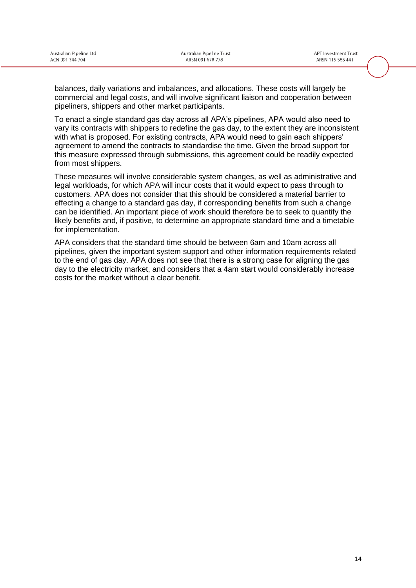balances, daily variations and imbalances, and allocations. These costs will largely be commercial and legal costs, and will involve significant liaison and cooperation between pipeliners, shippers and other market participants.

To enact a single standard gas day across all APA's pipelines, APA would also need to vary its contracts with shippers to redefine the gas day, to the extent they are inconsistent with what is proposed. For existing contracts, APA would need to gain each shippers' agreement to amend the contracts to standardise the time. Given the broad support for this measure expressed through submissions, this agreement could be readily expected from most shippers.

These measures will involve considerable system changes, as well as administrative and legal workloads, for which APA will incur costs that it would expect to pass through to customers. APA does not consider that this should be considered a material barrier to effecting a change to a standard gas day, if corresponding benefits from such a change can be identified. An important piece of work should therefore be to seek to quantify the likely benefits and, if positive, to determine an appropriate standard time and a timetable for implementation.

APA considers that the standard time should be between 6am and 10am across all pipelines, given the important system support and other information requirements related to the end of gas day. APA does not see that there is a strong case for aligning the gas day to the electricity market, and considers that a 4am start would considerably increase costs for the market without a clear benefit.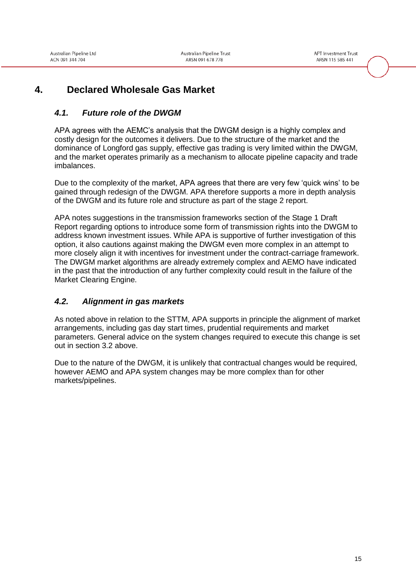**APT Investment Trust** ARSN 115 585 441

## **4. Declared Wholesale Gas Market**

## *4.1. Future role of the DWGM*

APA agrees with the AEMC's analysis that the DWGM design is a highly complex and costly design for the outcomes it delivers. Due to the structure of the market and the dominance of Longford gas supply, effective gas trading is very limited within the DWGM, and the market operates primarily as a mechanism to allocate pipeline capacity and trade imbalances.

Due to the complexity of the market, APA agrees that there are very few 'quick wins' to be gained through redesign of the DWGM. APA therefore supports a more in depth analysis of the DWGM and its future role and structure as part of the stage 2 report.

APA notes suggestions in the transmission frameworks section of the Stage 1 Draft Report regarding options to introduce some form of transmission rights into the DWGM to address known investment issues. While APA is supportive of further investigation of this option, it also cautions against making the DWGM even more complex in an attempt to more closely align it with incentives for investment under the contract-carriage framework. The DWGM market algorithms are already extremely complex and AEMO have indicated in the past that the introduction of any further complexity could result in the failure of the Market Clearing Engine.

## *4.2. Alignment in gas markets*

As noted above in relation to the STTM, APA supports in principle the alignment of market arrangements, including gas day start times, prudential requirements and market parameters. General advice on the system changes required to execute this change is set out in section [3.2](#page-14-0) above.

Due to the nature of the DWGM, it is unlikely that contractual changes would be required, however AEMO and APA system changes may be more complex than for other markets/pipelines.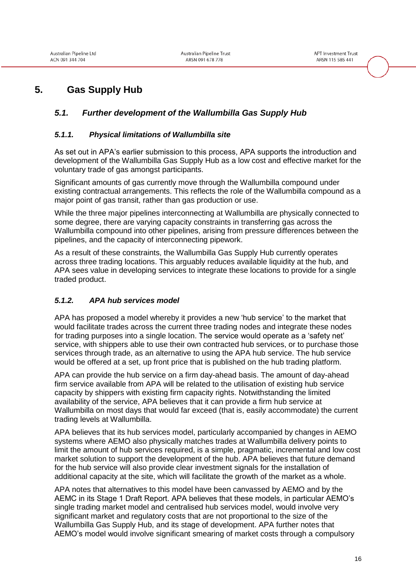## **5. Gas Supply Hub**

## *5.1. Further development of the Wallumbilla Gas Supply Hub*

#### *5.1.1. Physical limitations of Wallumbilla site*

As set out in APA's earlier submission to this process, APA supports the introduction and development of the Wallumbilla Gas Supply Hub as a low cost and effective market for the voluntary trade of gas amongst participants.

Significant amounts of gas currently move through the Wallumbilla compound under existing contractual arrangements. This reflects the role of the Wallumbilla compound as a major point of gas transit, rather than gas production or use.

While the three major pipelines interconnecting at Wallumbilla are physically connected to some degree, there are varying capacity constraints in transferring gas across the Wallumbilla compound into other pipelines, arising from pressure differences between the pipelines, and the capacity of interconnecting pipework.

As a result of these constraints, the Wallumbilla Gas Supply Hub currently operates across three trading locations. This arguably reduces available liquidity at the hub, and APA sees value in developing services to integrate these locations to provide for a single traded product.

### *5.1.2. APA hub services model*

APA has proposed a model whereby it provides a new 'hub service' to the market that would facilitate trades across the current three trading nodes and integrate these nodes for trading purposes into a single location. The service would operate as a 'safety net' service, with shippers able to use their own contracted hub services, or to purchase those services through trade, as an alternative to using the APA hub service. The hub service would be offered at a set, up front price that is published on the hub trading platform.

APA can provide the hub service on a firm day-ahead basis. The amount of day-ahead firm service available from APA will be related to the utilisation of existing hub service capacity by shippers with existing firm capacity rights. Notwithstanding the limited availability of the service, APA believes that it can provide a firm hub service at Wallumbilla on most days that would far exceed (that is, easily accommodate) the current trading levels at Wallumbilla.

APA believes that its hub services model, particularly accompanied by changes in AEMO systems where AEMO also physically matches trades at Wallumbilla delivery points to limit the amount of hub services required, is a simple, pragmatic, incremental and low cost market solution to support the development of the hub. APA believes that future demand for the hub service will also provide clear investment signals for the installation of additional capacity at the site, which will facilitate the growth of the market as a whole.

APA notes that alternatives to this model have been canvassed by AEMO and by the AEMC in its Stage 1 Draft Report. APA believes that these models, in particular AEMO's single trading market model and centralised hub services model, would involve very significant market and regulatory costs that are not proportional to the size of the Wallumbilla Gas Supply Hub, and its stage of development. APA further notes that AEMO's model would involve significant smearing of market costs through a compulsory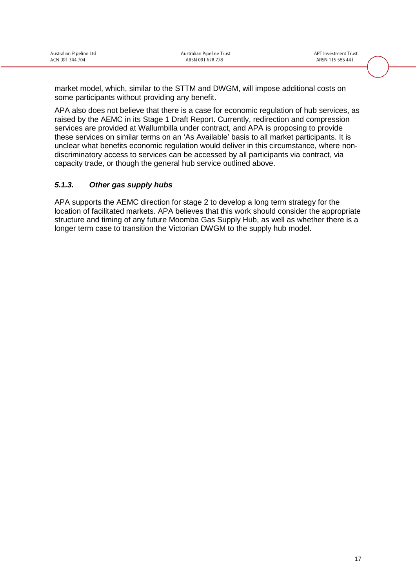market model, which, similar to the STTM and DWGM, will impose additional costs on some participants without providing any benefit.

APA also does not believe that there is a case for economic regulation of hub services, as raised by the AEMC in its Stage 1 Draft Report. Currently, redirection and compression services are provided at Wallumbilla under contract, and APA is proposing to provide these services on similar terms on an 'As Available' basis to all market participants. It is unclear what benefits economic regulation would deliver in this circumstance, where nondiscriminatory access to services can be accessed by all participants via contract, via capacity trade, or though the general hub service outlined above.

### *5.1.3. Other gas supply hubs*

APA supports the AEMC direction for stage 2 to develop a long term strategy for the location of facilitated markets. APA believes that this work should consider the appropriate structure and timing of any future Moomba Gas Supply Hub, as well as whether there is a longer term case to transition the Victorian DWGM to the supply hub model.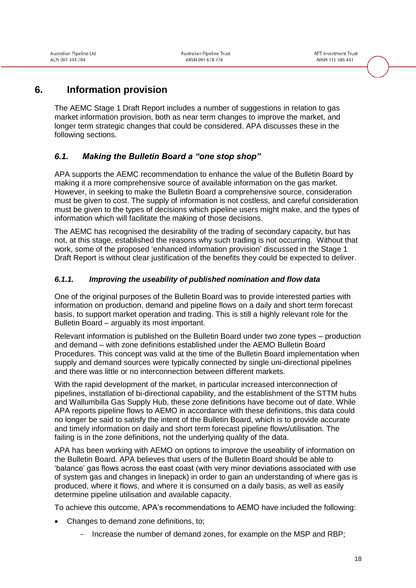## **6. Information provision**

The AEMC Stage 1 Draft Report includes a number of suggestions in relation to gas market information provision, both as near term changes to improve the market, and longer term strategic changes that could be considered. APA discusses these in the following sections.

## *6.1. Making the Bulletin Board a "one stop shop"*

APA supports the AEMC recommendation to enhance the value of the Bulletin Board by making it a more comprehensive source of available information on the gas market. However, in seeking to make the Bulletin Board a comprehensive source, consideration must be given to cost. The supply of information is not costless, and careful consideration must be given to the types of decisions which pipeline users might make, and the types of information which will facilitate the making of those decisions.

The AEMC has recognised the desirability of the trading of secondary capacity, but has not, at this stage, established the reasons why such trading is not occurring. Without that work, some of the proposed 'enhanced information provision' discussed in the Stage 1 Draft Report is without clear justification of the benefits they could be expected to deliver.

### *6.1.1. Improving the useability of published nomination and flow data*

One of the original purposes of the Bulletin Board was to provide interested parties with information on production, demand and pipeline flows on a daily and short term forecast basis, to support market operation and trading. This is still a highly relevant role for the Bulletin Board – arguably its most important.

Relevant information is published on the Bulletin Board under two zone types – production and demand – with zone definitions established under the AEMO Bulletin Board Procedures. This concept was valid at the time of the Bulletin Board implementation when supply and demand sources were typically connected by single uni-directional pipelines and there was little or no interconnection between different markets.

With the rapid development of the market, in particular increased interconnection of pipelines, installation of bi-directional capability, and the establishment of the STTM hubs and Wallumbilla Gas Supply Hub, these zone definitions have become out of date. While APA reports pipeline flows to AEMO in accordance with these definitions, this data could no longer be said to satisfy the intent of the Bulletin Board, which is to provide accurate and timely information on daily and short term forecast pipeline flows/utilisation. The failing is in the zone definitions, not the underlying quality of the data.

APA has been working with AEMO on options to improve the useability of information on the Bulletin Board. APA believes that users of the Bulletin Board should be able to 'balance' gas flows across the east coast (with very minor deviations associated with use of system gas and changes in linepack) in order to gain an understanding of where gas is produced, where it flows, and where it is consumed on a daily basis, as well as easily determine pipeline utilisation and available capacity.

To achieve this outcome, APA's recommendations to AEMO have included the following:

- Changes to demand zone definitions, to;
	- Increase the number of demand zones, for example on the MSP and RBP;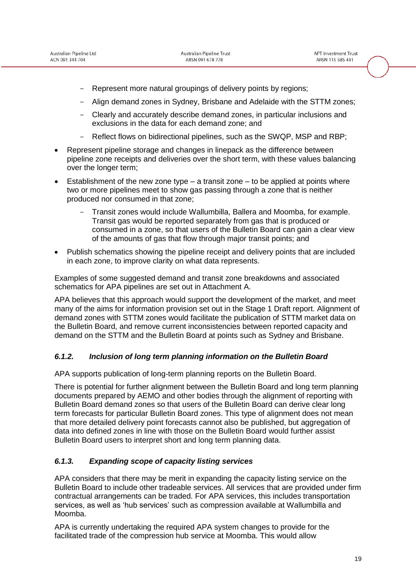- Represent more natural groupings of delivery points by regions;
- Align demand zones in Sydney, Brisbane and Adelaide with the STTM zones;
- Clearly and accurately describe demand zones, in particular inclusions and exclusions in the data for each demand zone; and
- Reflect flows on bidirectional pipelines, such as the SWQP, MSP and RBP;
- Represent pipeline storage and changes in linepack as the difference between pipeline zone receipts and deliveries over the short term, with these values balancing over the longer term;
- Establishment of the new zone type  $-$  a transit zone  $-$  to be applied at points where two or more pipelines meet to show gas passing through a zone that is neither produced nor consumed in that zone;
	- Transit zones would include Wallumbilla, Ballera and Moomba, for example. Transit gas would be reported separately from gas that is produced or consumed in a zone, so that users of the Bulletin Board can gain a clear view of the amounts of gas that flow through major transit points; and
- Publish schematics showing the pipeline receipt and delivery points that are included in each zone, to improve clarity on what data represents.

Examples of some suggested demand and transit zone breakdowns and associated schematics for APA pipelines are set out in Attachment A.

APA believes that this approach would support the development of the market, and meet many of the aims for information provision set out in the Stage 1 Draft report. Alignment of demand zones with STTM zones would facilitate the publication of STTM market data on the Bulletin Board, and remove current inconsistencies between reported capacity and demand on the STTM and the Bulletin Board at points such as Sydney and Brisbane.

#### *6.1.2. Inclusion of long term planning information on the Bulletin Board*

APA supports publication of long-term planning reports on the Bulletin Board.

There is potential for further alignment between the Bulletin Board and long term planning documents prepared by AEMO and other bodies through the alignment of reporting with Bulletin Board demand zones so that users of the Bulletin Board can derive clear long term forecasts for particular Bulletin Board zones. This type of alignment does not mean that more detailed delivery point forecasts cannot also be published, but aggregation of data into defined zones in line with those on the Bulletin Board would further assist Bulletin Board users to interpret short and long term planning data.

### *6.1.3. Expanding scope of capacity listing services*

APA considers that there may be merit in expanding the capacity listing service on the Bulletin Board to include other tradeable services. All services that are provided under firm contractual arrangements can be traded. For APA services, this includes transportation services, as well as 'hub services' such as compression available at Wallumbilla and Moomba.

APA is currently undertaking the required APA system changes to provide for the facilitated trade of the compression hub service at Moomba. This would allow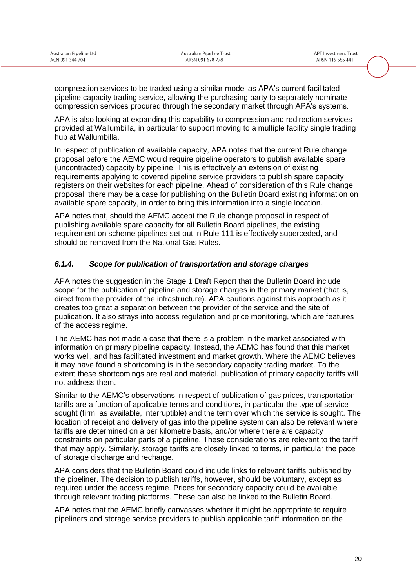compression services to be traded using a similar model as APA's current facilitated pipeline capacity trading service, allowing the purchasing party to separately nominate compression services procured through the secondary market through APA's systems.

APA is also looking at expanding this capability to compression and redirection services provided at Wallumbilla, in particular to support moving to a multiple facility single trading hub at Wallumbilla.

In respect of publication of available capacity, APA notes that the current Rule change proposal before the AEMC would require pipeline operators to publish available spare (uncontracted) capacity by pipeline. This is effectively an extension of existing requirements applying to covered pipeline service providers to publish spare capacity registers on their websites for each pipeline. Ahead of consideration of this Rule change proposal, there may be a case for publishing on the Bulletin Board existing information on available spare capacity, in order to bring this information into a single location.

APA notes that, should the AEMC accept the Rule change proposal in respect of publishing available spare capacity for all Bulletin Board pipelines, the existing requirement on scheme pipelines set out in Rule 111 is effectively superceded, and should be removed from the National Gas Rules.

#### *6.1.4. Scope for publication of transportation and storage charges*

APA notes the suggestion in the Stage 1 Draft Report that the Bulletin Board include scope for the publication of pipeline and storage charges in the primary market (that is, direct from the provider of the infrastructure). APA cautions against this approach as it creates too great a separation between the provider of the service and the site of publication. It also strays into access regulation and price monitoring, which are features of the access regime.

The AEMC has not made a case that there is a problem in the market associated with information on primary pipeline capacity. Instead, the AEMC has found that this market works well, and has facilitated investment and market growth. Where the AEMC believes it may have found a shortcoming is in the secondary capacity trading market. To the extent these shortcomings are real and material, publication of primary capacity tariffs will not address them.

Similar to the AEMC's observations in respect of publication of gas prices, transportation tariffs are a function of applicable terms and conditions, in particular the type of service sought (firm, as available, interruptible) and the term over which the service is sought. The location of receipt and delivery of gas into the pipeline system can also be relevant where tariffs are determined on a per kilometre basis, and/or where there are capacity constraints on particular parts of a pipeline. These considerations are relevant to the tariff that may apply. Similarly, storage tariffs are closely linked to terms, in particular the pace of storage discharge and recharge.

APA considers that the Bulletin Board could include links to relevant tariffs published by the pipeliner. The decision to publish tariffs, however, should be voluntary, except as required under the access regime. Prices for secondary capacity could be available through relevant trading platforms. These can also be linked to the Bulletin Board.

APA notes that the AEMC briefly canvasses whether it might be appropriate to require pipeliners and storage service providers to publish applicable tariff information on the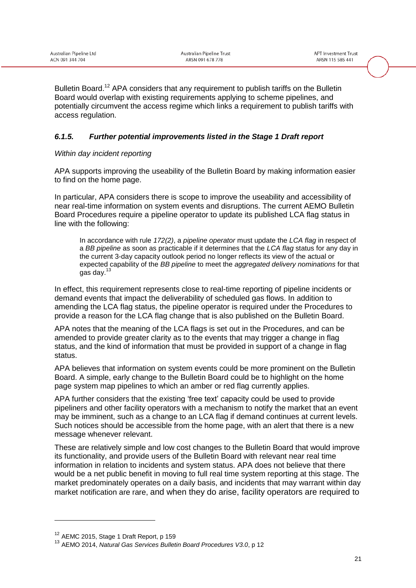Bulletin Board.<sup>12</sup> APA considers that any requirement to publish tariffs on the Bulletin Board would overlap with existing requirements applying to scheme pipelines, and potentially circumvent the access regime which links a requirement to publish tariffs with access regulation.

### *6.1.5. Further potential improvements listed in the Stage 1 Draft report*

#### *Within day incident reporting*

APA supports improving the useability of the Bulletin Board by making information easier to find on the home page.

In particular, APA considers there is scope to improve the useability and accessibility of near real-time information on system events and disruptions. The current AEMO Bulletin Board Procedures require a pipeline operator to update its published LCA flag status in line with the following:

In accordance with rule *172(2)*, a *pipeline operator* must update the *LCA flag* in respect of a *BB pipeline* as soon as practicable if it determines that the *LCA flag* status for any day in the current 3-day capacity outlook period no longer reflects its view of the actual or expected capability of the *BB pipeline* to meet the *aggregated delivery nominations* for that gas day. $1$ 

In effect, this requirement represents close to real-time reporting of pipeline incidents or demand events that impact the deliverability of scheduled gas flows. In addition to amending the LCA flag status, the pipeline operator is required under the Procedures to provide a reason for the LCA flag change that is also published on the Bulletin Board.

APA notes that the meaning of the LCA flags is set out in the Procedures, and can be amended to provide greater clarity as to the events that may trigger a change in flag status, and the kind of information that must be provided in support of a change in flag status.

APA believes that information on system events could be more prominent on the Bulletin Board. A simple, early change to the Bulletin Board could be to highlight on the home page system map pipelines to which an amber or red flag currently applies.

APA further considers that the existing 'free text' capacity could be used to provide pipeliners and other facility operators with a mechanism to notify the market that an event may be imminent, such as a change to an LCA flag if demand continues at current levels. Such notices should be accessible from the home page, with an alert that there is a new message whenever relevant.

These are relatively simple and low cost changes to the Bulletin Board that would improve its functionality, and provide users of the Bulletin Board with relevant near real time information in relation to incidents and system status. APA does not believe that there would be a net public benefit in moving to full real time system reporting at this stage. The market predominately operates on a daily basis, and incidents that may warrant within day market notification are rare, and when they do arise, facility operators are required to

<sup>&</sup>lt;sup>12</sup> AEMC 2015, Stage 1 Draft Report, p 159

<sup>13</sup> AEMO 2014, *Natural Gas Services Bulletin Board Procedures V3.0*, p 12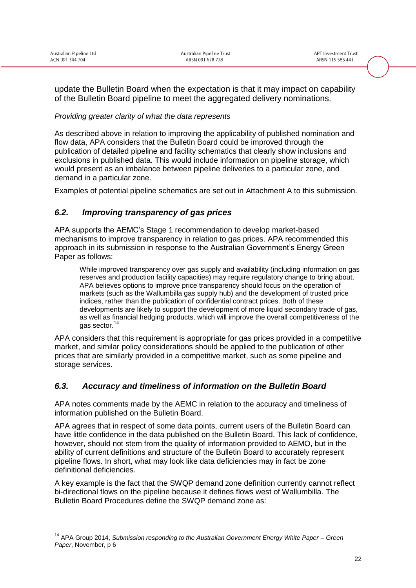-

update the Bulletin Board when the expectation is that it may impact on capability of the Bulletin Board pipeline to meet the aggregated delivery nominations.

#### *Providing greater clarity of what the data represents*

As described above in relation to improving the applicability of published nomination and flow data, APA considers that the Bulletin Board could be improved through the publication of detailed pipeline and facility schematics that clearly show inclusions and exclusions in published data. This would include information on pipeline storage, which would present as an imbalance between pipeline deliveries to a particular zone, and demand in a particular zone.

Examples of potential pipeline schematics are set out in Attachment A to this submission.

### *6.2. Improving transparency of gas prices*

APA supports the AEMC's Stage 1 recommendation to develop market-based mechanisms to improve transparency in relation to gas prices. APA recommended this approach in its submission in response to the Australian Government's Energy Green Paper as follows:

While improved transparency over gas supply and availability (including information on gas reserves and production facility capacities) may require regulatory change to bring about, APA believes options to improve price transparency should focus on the operation of markets (such as the Wallumbilla gas supply hub) and the development of trusted price indices, rather than the publication of confidential contract prices. Both of these developments are likely to support the development of more liquid secondary trade of gas, as well as financial hedging products, which will improve the overall competitiveness of the gas sector.<sup>14</sup>

APA considers that this requirement is appropriate for gas prices provided in a competitive market, and similar policy considerations should be applied to the publication of other prices that are similarly provided in a competitive market, such as some pipeline and storage services.

### *6.3. Accuracy and timeliness of information on the Bulletin Board*

APA notes comments made by the AEMC in relation to the accuracy and timeliness of information published on the Bulletin Board.

APA agrees that in respect of some data points, current users of the Bulletin Board can have little confidence in the data published on the Bulletin Board. This lack of confidence, however, should not stem from the quality of information provided to AEMO, but in the ability of current definitions and structure of the Bulletin Board to accurately represent pipeline flows. In short, what may look like data deficiencies may in fact be zone definitional deficiencies.

A key example is the fact that the SWQP demand zone definition currently cannot reflect bi-directional flows on the pipeline because it defines flows west of Wallumbilla. The Bulletin Board Procedures define the SWQP demand zone as:

<sup>14</sup> APA Group 2014, *Submission responding to the Australian Government Energy White Paper – Green Paper*, November, p 6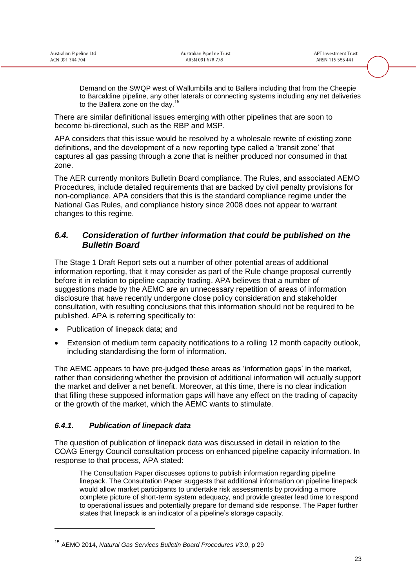Demand on the SWQP west of Wallumbilla and to Ballera including that from the Cheepie to Barcaldine pipeline, any other laterals or connecting systems including any net deliveries to the Ballera zone on the day.<sup>15</sup>

There are similar definitional issues emerging with other pipelines that are soon to become bi-directional, such as the RBP and MSP.

APA considers that this issue would be resolved by a wholesale rewrite of existing zone definitions, and the development of a new reporting type called a 'transit zone' that captures all gas passing through a zone that is neither produced nor consumed in that zone.

The AER currently monitors Bulletin Board compliance. The Rules, and associated AEMO Procedures, include detailed requirements that are backed by civil penalty provisions for non-compliance. APA considers that this is the standard compliance regime under the National Gas Rules, and compliance history since 2008 does not appear to warrant changes to this regime.

### *6.4. Consideration of further information that could be published on the Bulletin Board*

The Stage 1 Draft Report sets out a number of other potential areas of additional information reporting, that it may consider as part of the Rule change proposal currently before it in relation to pipeline capacity trading. APA believes that a number of suggestions made by the AEMC are an unnecessary repetition of areas of information disclosure that have recently undergone close policy consideration and stakeholder consultation, with resulting conclusions that this information should not be required to be published. APA is referring specifically to:

- Publication of linepack data; and
- Extension of medium term capacity notifications to a rolling 12 month capacity outlook, including standardising the form of information.

The AEMC appears to have pre-judged these areas as 'information gaps' in the market, rather than considering whether the provision of additional information will actually support the market and deliver a net benefit. Moreover, at this time, there is no clear indication that filling these supposed information gaps will have any effect on the trading of capacity or the growth of the market, which the AEMC wants to stimulate.

### *6.4.1. Publication of linepack data*

-

The question of publication of linepack data was discussed in detail in relation to the COAG Energy Council consultation process on enhanced pipeline capacity information. In response to that process, APA stated:

The Consultation Paper discusses options to publish information regarding pipeline linepack. The Consultation Paper suggests that additional information on pipeline linepack would allow market participants to undertake risk assessments by providing a more complete picture of short-term system adequacy, and provide greater lead time to respond to operational issues and potentially prepare for demand side response. The Paper further states that linepack is an indicator of a pipeline's storage capacity.

<sup>15</sup> AEMO 2014, *Natural Gas Services Bulletin Board Procedures V3.0*, p 29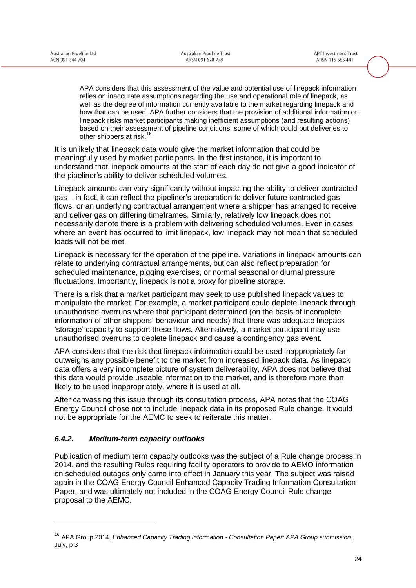APA considers that this assessment of the value and potential use of linepack information relies on inaccurate assumptions regarding the use and operational role of linepack, as well as the degree of information currently available to the market regarding linepack and how that can be used. APA further considers that the provision of additional information on linepack risks market participants making inefficient assumptions (and resulting actions) based on their assessment of pipeline conditions, some of which could put deliveries to other shippers at risk.<sup>16</sup>

It is unlikely that linepack data would give the market information that could be meaningfully used by market participants. In the first instance, it is important to understand that linepack amounts at the start of each day do not give a good indicator of the pipeliner's ability to deliver scheduled volumes.

Linepack amounts can vary significantly without impacting the ability to deliver contracted gas – in fact, it can reflect the pipeliner's preparation to deliver future contracted gas flows, or an underlying contractual arrangement where a shipper has arranged to receive and deliver gas on differing timeframes. Similarly, relatively low linepack does not necessarily denote there is a problem with delivering scheduled volumes. Even in cases where an event has occurred to limit linepack, low linepack may not mean that scheduled loads will not be met.

Linepack is necessary for the operation of the pipeline. Variations in linepack amounts can relate to underlying contractual arrangements, but can also reflect preparation for scheduled maintenance, pigging exercises, or normal seasonal or diurnal pressure fluctuations. Importantly, linepack is not a proxy for pipeline storage.

There is a risk that a market participant may seek to use published linepack values to manipulate the market. For example, a market participant could deplete linepack through unauthorised overruns where that participant determined (on the basis of incomplete information of other shippers' behaviour and needs) that there was adequate linepack 'storage' capacity to support these flows. Alternatively, a market participant may use unauthorised overruns to deplete linepack and cause a contingency gas event.

APA considers that the risk that linepack information could be used inappropriately far outweighs any possible benefit to the market from increased linepack data. As linepack data offers a very incomplete picture of system deliverability, APA does not believe that this data would provide useable information to the market, and is therefore more than likely to be used inappropriately, where it is used at all.

After canvassing this issue through its consultation process, APA notes that the COAG Energy Council chose not to include linepack data in its proposed Rule change. It would not be appropriate for the AEMC to seek to reiterate this matter.

### *6.4.2. Medium-term capacity outlooks*

-

Publication of medium term capacity outlooks was the subject of a Rule change process in 2014, and the resulting Rules requiring facility operators to provide to AEMO information on scheduled outages only came into effect in January this year. The subject was raised again in the COAG Energy Council Enhanced Capacity Trading Information Consultation Paper, and was ultimately not included in the COAG Energy Council Rule change proposal to the AEMC.

<sup>16</sup> APA Group 2014, *Enhanced Capacity Trading Information - Consultation Paper: APA Group submission*, July, p 3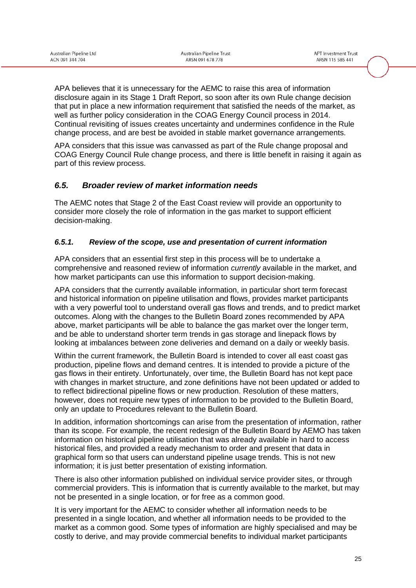APA believes that it is unnecessary for the AEMC to raise this area of information disclosure again in its Stage 1 Draft Report, so soon after its own Rule change decision that put in place a new information requirement that satisfied the needs of the market, as well as further policy consideration in the COAG Energy Council process in 2014. Continual revisiting of issues creates uncertainty and undermines confidence in the Rule change process, and are best be avoided in stable market governance arrangements.

APA considers that this issue was canvassed as part of the Rule change proposal and COAG Energy Council Rule change process, and there is little benefit in raising it again as part of this review process.

### *6.5. Broader review of market information needs*

The AEMC notes that Stage 2 of the East Coast review will provide an opportunity to consider more closely the role of information in the gas market to support efficient decision-making.

#### *6.5.1. Review of the scope, use and presentation of current information*

APA considers that an essential first step in this process will be to undertake a comprehensive and reasoned review of information *currently* available in the market, and how market participants can use this information to support decision-making.

APA considers that the currently available information, in particular short term forecast and historical information on pipeline utilisation and flows, provides market participants with a very powerful tool to understand overall gas flows and trends, and to predict market outcomes. Along with the changes to the Bulletin Board zones recommended by APA above, market participants will be able to balance the gas market over the longer term, and be able to understand shorter term trends in gas storage and linepack flows by looking at imbalances between zone deliveries and demand on a daily or weekly basis.

Within the current framework, the Bulletin Board is intended to cover all east coast gas production, pipeline flows and demand centres. It is intended to provide a picture of the gas flows in their entirety. Unfortunately, over time, the Bulletin Board has not kept pace with changes in market structure, and zone definitions have not been updated or added to to reflect bidirectional pipeline flows or new production. Resolution of these matters, however, does not require new types of information to be provided to the Bulletin Board, only an update to Procedures relevant to the Bulletin Board.

In addition, information shortcomings can arise from the presentation of information, rather than its scope. For example, the recent redesign of the Bulletin Board by AEMO has taken information on historical pipeline utilisation that was already available in hard to access historical files, and provided a ready mechanism to order and present that data in graphical form so that users can understand pipeline usage trends. This is not new information; it is just better presentation of existing information.

There is also other information published on individual service provider sites, or through commercial providers. This is information that is currently available to the market, but may not be presented in a single location, or for free as a common good.

It is very important for the AEMC to consider whether all information needs to be presented in a single location, and whether all information needs to be provided to the market as a common good. Some types of information are highly specialised and may be costly to derive, and may provide commercial benefits to individual market participants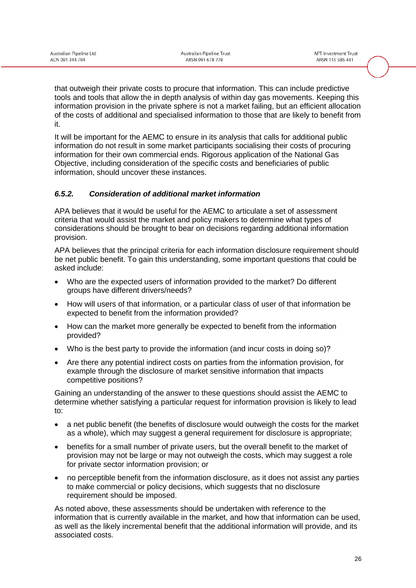that outweigh their private costs to procure that information. This can include predictive tools and tools that allow the in depth analysis of within day gas movements. Keeping this information provision in the private sphere is not a market failing, but an efficient allocation of the costs of additional and specialised information to those that are likely to benefit from it.

It will be important for the AEMC to ensure in its analysis that calls for additional public information do not result in some market participants socialising their costs of procuring information for their own commercial ends. Rigorous application of the National Gas Objective, including consideration of the specific costs and beneficiaries of public information, should uncover these instances.

### *6.5.2. Consideration of additional market information*

APA believes that it would be useful for the AEMC to articulate a set of assessment criteria that would assist the market and policy makers to determine what types of considerations should be brought to bear on decisions regarding additional information provision.

APA believes that the principal criteria for each information disclosure requirement should be net public benefit. To gain this understanding, some important questions that could be asked include:

- Who are the expected users of information provided to the market? Do different groups have different drivers/needs?
- How will users of that information, or a particular class of user of that information be expected to benefit from the information provided?
- How can the market more generally be expected to benefit from the information provided?
- Who is the best party to provide the information (and incur costs in doing so)?
- Are there any potential indirect costs on parties from the information provision, for example through the disclosure of market sensitive information that impacts competitive positions?

Gaining an understanding of the answer to these questions should assist the AEMC to determine whether satisfying a particular request for information provision is likely to lead to:

- a net public benefit (the benefits of disclosure would outweigh the costs for the market as a whole), which may suggest a general requirement for disclosure is appropriate;
- benefits for a small number of private users, but the overall benefit to the market of provision may not be large or may not outweigh the costs, which may suggest a role for private sector information provision; or
- no perceptible benefit from the information disclosure, as it does not assist any parties to make commercial or policy decisions, which suggests that no disclosure requirement should be imposed.

As noted above, these assessments should be undertaken with reference to the information that is currently available in the market, and how that information can be used, as well as the likely incremental benefit that the additional information will provide, and its associated costs.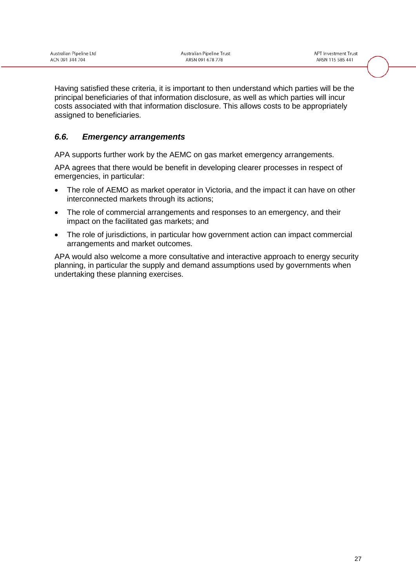|                 | Australian Pipeline Ltd |  |
|-----------------|-------------------------|--|
| ACN 091 344 704 |                         |  |

Having satisfied these criteria, it is important to then understand which parties will be the principal beneficiaries of that information disclosure, as well as which parties will incur costs associated with that information disclosure. This allows costs to be appropriately assigned to beneficiaries.

## *6.6. Emergency arrangements*

APA supports further work by the AEMC on gas market emergency arrangements.

APA agrees that there would be benefit in developing clearer processes in respect of emergencies, in particular:

- The role of AEMO as market operator in Victoria, and the impact it can have on other interconnected markets through its actions;
- The role of commercial arrangements and responses to an emergency, and their impact on the facilitated gas markets; and
- The role of jurisdictions, in particular how government action can impact commercial arrangements and market outcomes.

APA would also welcome a more consultative and interactive approach to energy security planning, in particular the supply and demand assumptions used by governments when undertaking these planning exercises.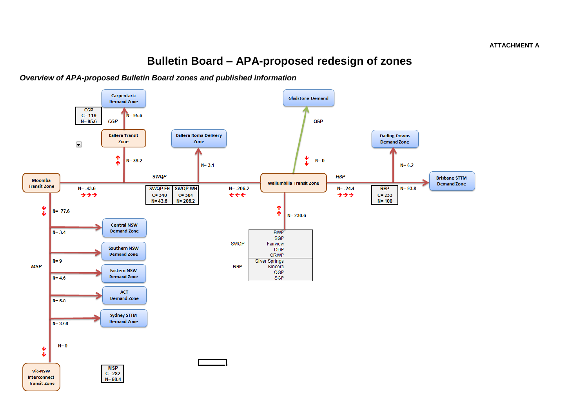# **Bulletin Board – APA-proposed redesign of zones**